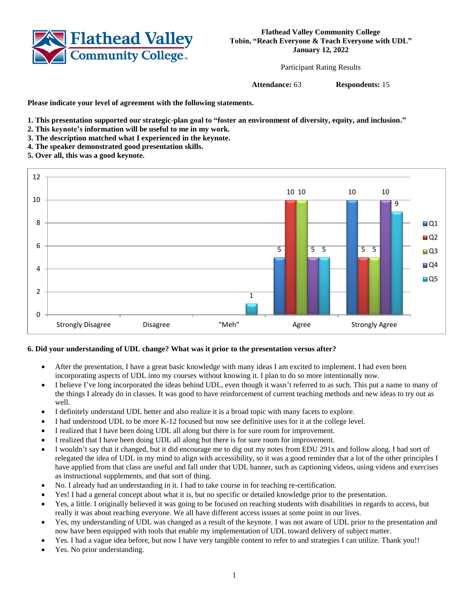

**Flathead Valley Community College Tobin, "Reach Everyone & Teach Everyone with UDL" January 12, 2022**

Participant Rating Results

**Attendance:** 63 **Respondents:** 15

**Please indicate your level of agreement with the following statements.**

- **1. This presentation supported our strategic-plan goal to "foster an environment of diversity, equity, and inclusion."**
- **2. This keynote's information will be useful to me in my work.**
- **3. The description matched what I experienced in the keynote.**
- **4. The speaker demonstrated good presentation skills.**
- **5. Over all, this was a good keynote.**



## **6. Did your understanding of UDL change? What was it prior to the presentation versus after?**

- After the presentation, I have a great basic knowledge with many ideas I am excited to implement. I had even been incorporating aspects of UDL into my courses without knowing it. I plan to do so more intentionally now.
- I believe I've long incorporated the ideas behind UDL, even though it wasn't referred to as such. This put a name to many of the things I already do in classes. It was good to have reinforcement of current teaching methods and new ideas to try out as well.
- I definitely understand UDL better and also realize it is a broad topic with many facets to explore.
- I had understood UDL to be more K-12 focused but now see definitive uses for it at the college level.
- I realized that I have been doing UDL all along but there is for sure room for improvement.
- I realized that I have been doing UDL all along but there is for sure room for improvement.
- I wouldn't say that it changed, but it did encourage me to dig out my notes from EDU 291x and follow along. I had sort of relegated the idea of UDL in my mind to align with accessibility, so it was a good reminder that a lot of the other principles I have applied from that class are useful and fall under that UDL banner, such as captioning videos, using videos and exercises as instructional supplements, and that sort of thing.
- No. I already had an understanding in it. I had to take course in for teaching re-certification.
- Yes! I had a general concept about what it is, but no specific or detailed knowledge prior to the presentation.
- Yes, a little. I originally believed it was going to be focused on reaching students with disabilities in regards to access, but really it was about reaching everyone. We all have different access issues at some point in our lives.
- Yes, my understanding of UDL was changed as a result of the keynote. I was not aware of UDL prior to the presentation and now have been equipped with tools that enable my implementation of UDL toward delivery of subject matter.
- Yes. I had a vague idea before, but now I have very tangible content to refer to and strategies I can utilize. Thank you!!
- Yes. No prior understanding.